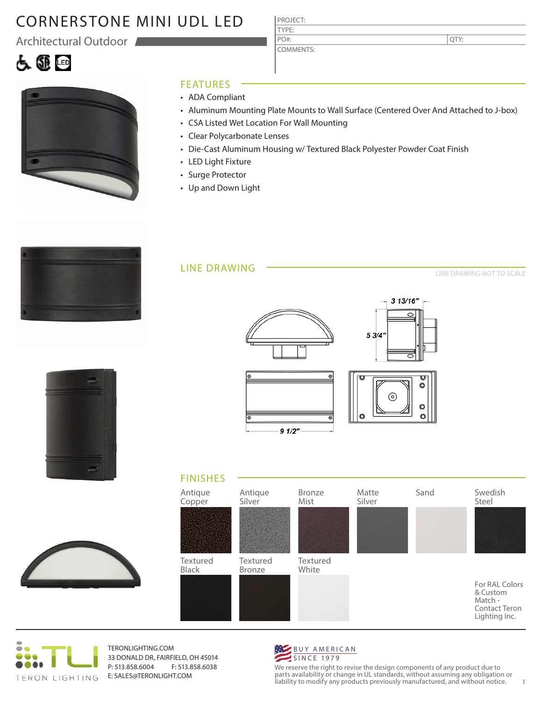# CORNERSTONE MINI UDL LED

Architectural Outdoor

## 白色画



## FEATURES

- ADA Compliant
- Aluminum Mounting Plate Mounts to Wall Surface (Centered Over And Attached to J-box)
- CSA Listed Wet Location For Wall Mounting

PROJECT: TYPE:

PO#:

COMMENTS:

- Clear Polycarbonate Lenses
- Die-Cast Aluminum Housing w/ Textured Black Polyester Powder Coat Finish
- LED Light Fixture
- Surge Protector
- Up and Down Light



### LINE DRAWING

LINE DRAWING NOT TO SCALE

|  |  | -- |   |  |
|--|--|----|---|--|
|  |  |    |   |  |
|  |  |    |   |  |
|  |  |    |   |  |
|  |  |    | ∍ |  |
|  |  |    |   |  |
|  |  |    |   |  |
|  |  |    |   |  |
|  |  |    |   |  |
|  |  |    |   |  |
|  |  |    |   |  |
|  |  |    |   |  |
|  |  |    |   |  |
|  |  |    |   |  |
|  |  |    |   |  |
|  |  |    |   |  |
|  |  |    |   |  |
|  |  |    |   |  |
|  |  |    |   |  |
|  |  |    |   |  |
|  |  |    |   |  |
|  |  |    |   |  |
|  |  |    |   |  |
|  |  |    |   |  |
|  |  |    |   |  |
|  |  |    |   |  |
|  |  |    |   |  |
|  |  |    |   |  |
|  |  |    |   |  |
|  |  |    |   |  |
|  |  |    |   |  |
|  |  |    |   |  |
|  |  |    |   |  |
|  |  |    |   |  |
|  |  |    |   |  |
|  |  |    |   |  |
|  |  |    |   |  |
|  |  |    |   |  |
|  |  |    |   |  |
|  |  |    |   |  |
|  |  |    |   |  |
|  |  |    |   |  |
|  |  |    |   |  |
|  |  |    |   |  |
|  |  |    |   |  |
|  |  |    |   |  |









TERONLIGHTING.COM 33 DONALD DR, FAIRFIELD, OH 45014 P: 513.858.6004 F: 513.858.6038 E: SALES@TERONLIGHT.COM



We reserve the right to revise the design components of any product due to parts availability or change in UL standards, without assuming any obligation or liability to modify any products previously manufactured, and without notice. 1

QTY: